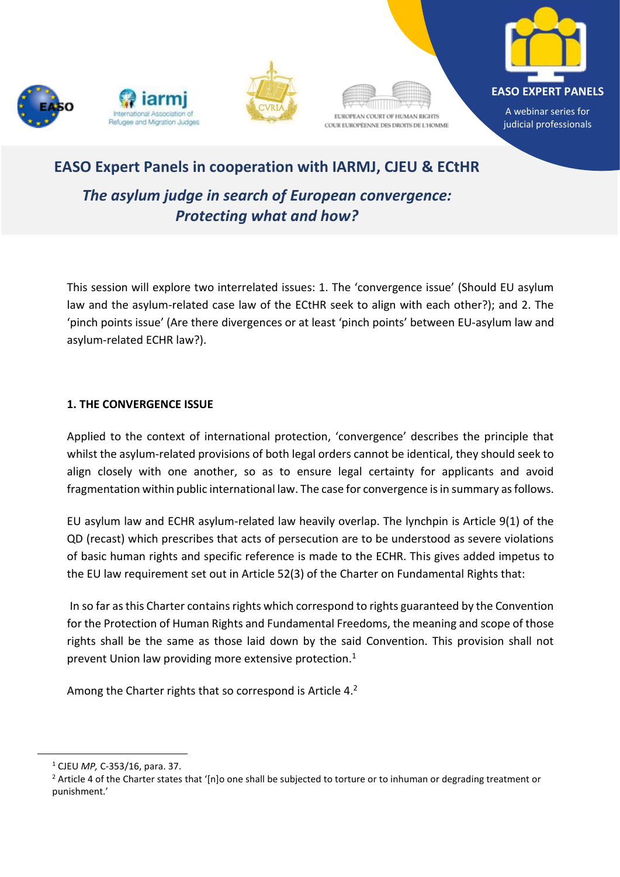









A webinar series for judicial professionals

# **EASO Expert Panels in cooperation with IARMJ, CJEU & ECtHR**

*The asylum judge in search of European convergence: Protecting what and how?* 

This session will explore two interrelated issues: 1. The 'convergence issue' (Should EU asylum law and the asylum-related case law of the ECtHR seek to align with each other?); and 2. The 'pinch points issue' (Are there divergences or at least 'pinch points' between EU-asylum law and asylum-related ECHR law?).

### **1. THE CONVERGENCE ISSUE**

Applied to the context of international protection, 'convergence' describes the principle that whilst the asylum-related provisions of both legal orders cannot be identical, they should seek to align closely with one another, so as to ensure legal certainty for applicants and avoid fragmentation within public international law. The case for convergence is in summary as follows.

EU asylum law and ECHR asylum-related law heavily overlap. The lynchpin is Article 9(1) of the QD (recast) which prescribes that acts of persecution are to be understood as severe violations of basic human rights and specific reference is made to the ECHR. This gives added impetus to the EU law requirement set out in Article 52(3) of the Charter on Fundamental Rights that:

In so far as this Charter contains rights which correspond to rights guaranteed by the Convention for the Protection of Human Rights and Fundamental Freedoms, the meaning and scope of those rights shall be the same as those laid down by the said Convention. This provision shall not prevent Union law providing more extensive protection.<sup>1</sup>

Among the Charter rights that so correspond is Article 4.<sup>2</sup>

<sup>1</sup> CJEU *MP,* C-353/16, para. 37.

<sup>&</sup>lt;sup>2</sup> Article 4 of the Charter states that '[n]o one shall be subjected to torture or to inhuman or degrading treatment or punishment.'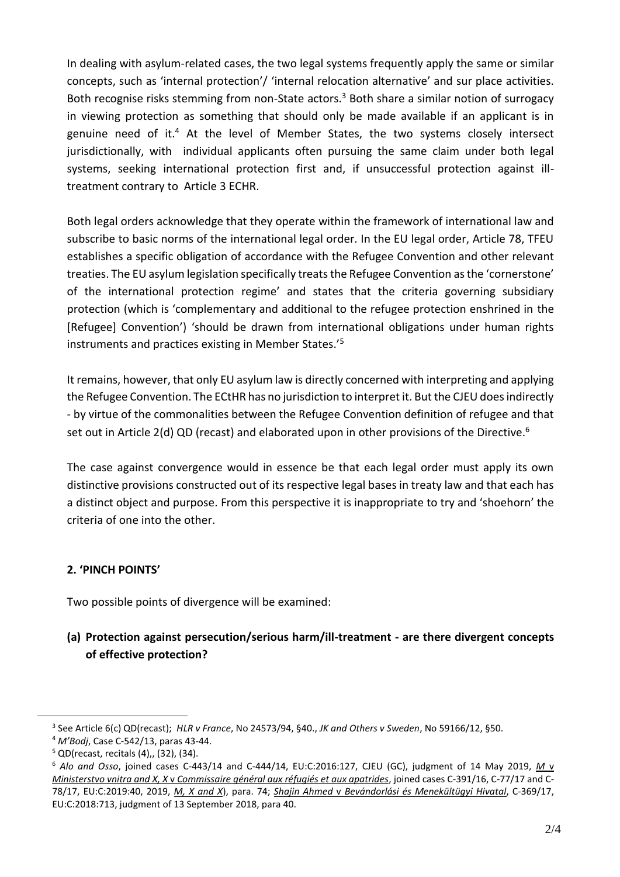In dealing with asylum-related cases, the two legal systems frequently apply the same or similar concepts, such as 'internal protection'/ 'internal relocation alternative' and sur place activities. Both recognise risks stemming from non-State actors.<sup>3</sup> Both share a similar notion of surrogacy in viewing protection as something that should only be made available if an applicant is in genuine need of it.<sup>4</sup> At the level of Member States, the two systems closely intersect jurisdictionally, with individual applicants often pursuing the same claim under both legal systems, seeking international protection first and, if unsuccessful protection against illtreatment contrary to Article 3 ECHR.

Both legal orders acknowledge that they operate within the framework of international law and subscribe to basic norms of the international legal order. In the EU legal order, Article 78, TFEU establishes a specific obligation of accordance with the Refugee Convention and other relevant treaties. The EU asylum legislation specifically treats the Refugee Convention as the 'cornerstone' of the international protection regime' and states that the criteria governing subsidiary protection (which is 'complementary and additional to the refugee protection enshrined in the [Refugee] Convention') 'should be drawn from international obligations under human rights instruments and practices existing in Member States.'<sup>5</sup>

It remains, however, that only EU asylum law is directly concerned with interpreting and applying the Refugee Convention. The ECtHR has no jurisdiction to interpret it. But the CJEU does indirectly - by virtue of the commonalities between the Refugee Convention definition of refugee and that set out in Article 2(d) QD (recast) and elaborated upon in other provisions of the Directive.<sup>6</sup>

The case against convergence would in essence be that each legal order must apply its own distinctive provisions constructed out of its respective legal bases in treaty law and that each has a distinct object and purpose. From this perspective it is inappropriate to try and 'shoehorn' the criteria of one into the other.

## **2. 'PINCH POINTS'**

Two possible points of divergence will be examined:

# **(a) Protection against persecution/serious harm/ill-treatment - are there divergent concepts of effective protection?**

<sup>3</sup> See Article 6(c) QD(recast); *[HLR v France](http://hudoc.echr.coe.int/eng?i=001-58041)*, No 24573/94, §40., *[JK and Others v Sweden](http://hudoc.echr.coe.int/fre?i=001-154980)*, No 59166/12, §50.

<sup>4</sup> *M'Bodj*, Case C-542/13, paras 43-44.

 $5$  QD(recast, recitals (4),, (32), (34).

<sup>6</sup> *Alo and Osso*, joined cases C-443/14 and C-444/14, EU:C:2016:127, CJEU (GC), judgment of 14 May 2019, *[M](http://curia.europa.eu/juris/document/document.jsf?text=&docid=214042&pageIndex=0&doclang=EN&mode=lst&dir=&occ=first&part=1&cid=8901370)* v *Ministerstvo vnitra and X, X* v *[Commissaire général aux réfugiés et aux apatrides](http://curia.europa.eu/juris/document/document.jsf?text=&docid=214042&pageIndex=0&doclang=EN&mode=lst&dir=&occ=first&part=1&cid=8901370)*, joined cases C-391/16, C-77/17 and C-78/17, EU:C:2019:40, 2019, *[M, X and X](http://curia.europa.eu/juris/document/document.jsf?text=&docid=214042&pageIndex=0&doclang=EN&mode=lst&dir=&occ=first&part=1&cid=8901370)*), para. 74; *Shajin Ahmed* v *[Bevándorlási és Menekültügyi Hivatal](http://curia.europa.eu/juris/document/document.jsf?text=&docid=205671&pageIndex=0&doclang=en&mode=lst&dir=&occ=first&part=1&cid=9295)*, C-369/17, EU:C:2018:713, judgment of 13 September 2018, para 40.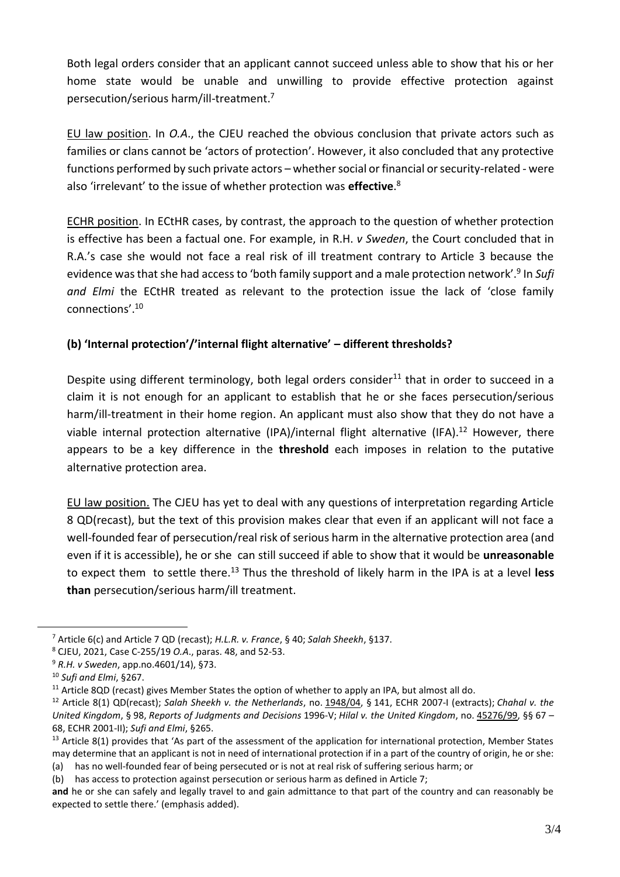Both legal orders consider that an applicant cannot succeed unless able to show that his or her home state would be unable and unwilling to provide effective protection against persecution/serious harm/ill-treatment.<sup>7</sup>

EU law position. In *O.A*., the CJEU reached the obvious conclusion that private actors such as families or clans cannot be 'actors of protection'. However, it also concluded that any protective functions performed by such private actors – whether social or financial or security-related - were also 'irrelevant' to the issue of whether protection was **effective**. 8

ECHR position. In ECtHR cases, by contrast, the approach to the question of whether protection is effective has been a factual one. For example, in R.H. *v Sweden*, the Court concluded that in R.A.'s case she would not face a real risk of ill treatment contrary to Article 3 because the evidence was that she had access to 'both family support and a male protection network'.<sup>9</sup> In *Sufi and Elmi* the ECtHR treated as relevant to the protection issue the lack of 'close family connections'.<sup>10</sup>

## **(b) 'Internal protection'/'internal flight alternative' – different thresholds?**

Despite using different terminology, both legal orders consider<sup>11</sup> that in order to succeed in a claim it is not enough for an applicant to establish that he or she faces persecution/serious harm/ill-treatment in their home region. An applicant must also show that they do not have a viable internal protection alternative (IPA)/internal flight alternative (IFA).<sup>12</sup> However, there appears to be a key difference in the **threshold** each imposes in relation to the putative alternative protection area.

EU law position. The CJEU has yet to deal with any questions of interpretation regarding Article 8 QD(recast), but the text of this provision makes clear that even if an applicant will not face a well-founded fear of persecution/real risk of serious harm in the alternative protection area (and even if it is accessible), he or she can still succeed if able to show that it would be **unreasonable** to expect them to settle there.<sup>13</sup> Thus the threshold of likely harm in the IPA is at a level **less than** persecution/serious harm/ill treatment.

(b) has access to protection against persecution or serious harm as defined in Article 7;

<sup>7</sup> Article 6(c) and Article 7 QD (recast); *H.L.R. v. France*, § 40; *Salah Sheekh*, §137.

<sup>8</sup> CJEU, 2021, Case C-255/19 *O.A*., paras. 48, and 52-53.

<sup>9</sup> *R.H. v Sweden*, app.no.4601/14), §73.

<sup>10</sup> *Sufi and Elmi*, §267.

<sup>&</sup>lt;sup>11</sup> Article 8QD (recast) gives Member States the option of whether to apply an IPA, but almost all do.

<sup>12</sup> Article 8(1) QD(recast); *Salah Sheekh v. the Netherlands*, no. 1948/04, § 141, ECHR 2007-I (extracts); *Chahal v. the United Kingdom*, § 98, *Reports of Judgments and Decisions* 1996-V; *Hilal v. the United Kingdom*, no. 45276/99, §§ 67 – 68, ECHR 2001-II); *Sufi and Elmi*, §265.

 $13$  Article 8(1) provides that 'As part of the assessment of the application for international protection, Member States may determine that an applicant is not in need of international protection if in a part of the country of origin, he or she: (a) has no well-founded fear of being persecuted or is not at real risk of suffering serious harm; or

**and** he or she can safely and legally travel to and gain admittance to that part of the country and can reasonably be expected to settle there.' (emphasis added).